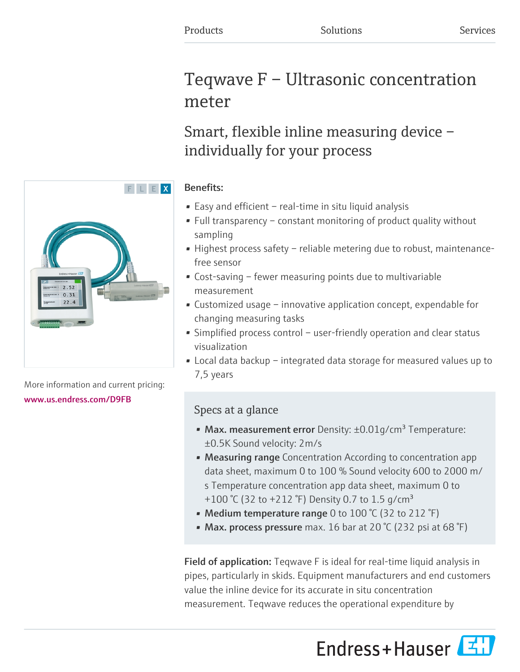# Teqwave F – Ultrasonic concentration meter

# Smart, flexible inline measuring device – individually for your process

### Benefits:

- Easy and efficient real-time in situ liquid analysis
- Full transparency constant monitoring of product quality without sampling
- Highest process safety reliable metering due to robust, maintenancefree sensor
- Cost-saving fewer measuring points due to multivariable measurement
- Customized usage innovative application concept, expendable for changing measuring tasks
- Simplified process control user-friendly operation and clear status visualization
- Local data backup integrated data storage for measured values up to 7,5 years

## Specs at a glance

- Max. measurement error Density:  $\pm 0.01$  g/cm<sup>3</sup> Temperature: ±0.5K Sound velocity: 2m/s
- Measuring range Concentration According to concentration app data sheet, maximum 0 to 100 % Sound velocity 600 to 2000 m/ s Temperature concentration app data sheet, maximum 0 to +100 °C (32 to +212 °F) Density 0.7 to 1.5 g/cm<sup>3</sup>
- Medium temperature range 0 to 100 °C (32 to 212 °F)
- Max. process pressure max. 16 bar at 20  $\degree$ C (232 psi at 68  $\degree$ F)

Field of application: Teqwave F is ideal for real-time liquid analysis in pipes, particularly in skids. Equipment manufacturers and end customers value the inline device for its accurate in situ concentration measurement. Teqwave reduces the operational expenditure by





More information and current pricing: [www.us.endress.com/D9FB](https://www.us.endress.com/D9FB)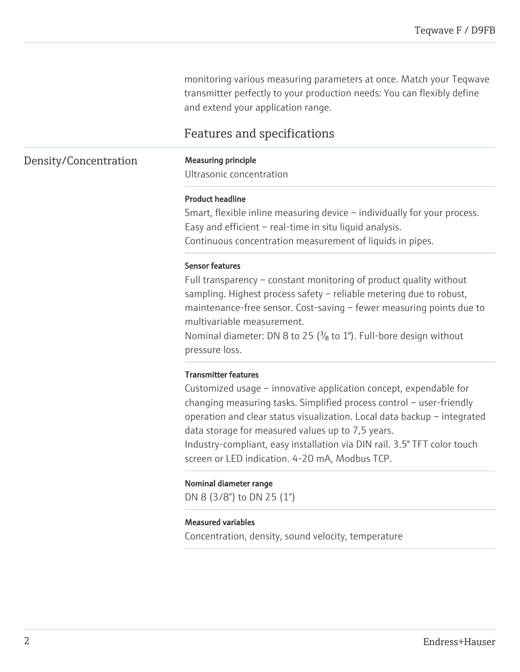monitoring various measuring parameters at once. Match your Teqwave transmitter perfectly to your production needs: You can flexibly define and extend your application range.

### Features and specifications

#### Density/Concentration Measuring principle

Ultrasonic concentration

#### Product headline

Smart, flexible inline measuring device – individually for your process. Easy and efficient – real-time in situ liquid analysis. Continuous concentration measurement of liquids in pipes.

#### Sensor features

Full transparency – constant monitoring of product quality without sampling. Highest process safety – reliable metering due to robust, maintenance-free sensor. Cost-saving – fewer measuring points due to multivariable measurement.

Nominal diameter: DN 8 to 25 ( $\frac{3}{8}$  to 1"). Full-bore design without pressure loss.

#### Transmitter features

Customized usage – innovative application concept, expendable for changing measuring tasks. Simplified process control – user-friendly operation and clear status visualization. Local data backup – integrated data storage for measured values up to 7,5 years.

Industry-compliant, easy installation via DIN rail. 3.5" TFT color touch screen or LED indication. 4-20 mA, Modbus TCP.

#### Nominal diameter range

DN 8 (3/8") to DN 25 (1")

#### Measured variables

Concentration, density, sound velocity, temperature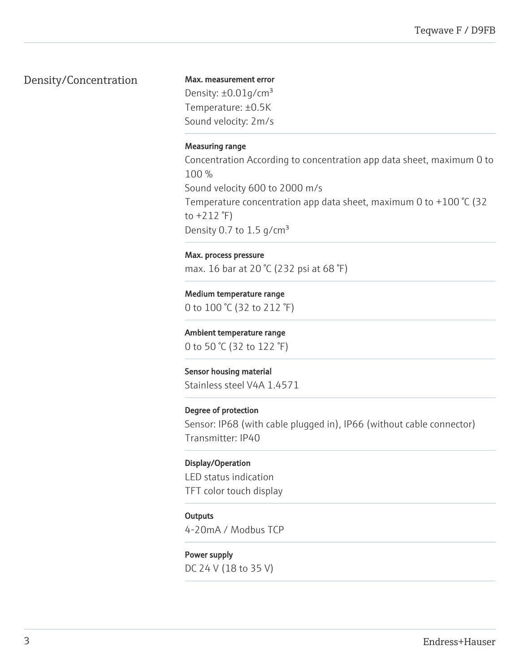### Density/Concentration

Max. measurement error Density:  $\pm 0.01$ g/cm<sup>3</sup> Temperature: ±0.5K Sound velocity: 2m/s

#### Measuring range

Concentration According to concentration app data sheet, maximum 0 to 100 % Sound velocity 600 to 2000 m/s Temperature concentration app data sheet, maximum 0 to +100 °C (32 to  $+212$   $\degree$ F) Density 0.7 to 1.5  $q/cm<sup>3</sup>$ 

Max. process pressure max. 16 bar at 20 °C (232 psi at 68 °F)

Medium temperature range 0 to 100 °C (32 to 212 °F)

Ambient temperature range 0 to 50 °C (32 to 122 °F)

Sensor housing material Stainless steel V4A 1.4571

Degree of protection Sensor: IP68 (with cable plugged in), IP66 (without cable connector) Transmitter: IP40

Display/Operation LED status indication TFT color touch display

**Outputs** 

4-20mA / Modbus TCP

Power supply DC 24 V (18 to 35 V)